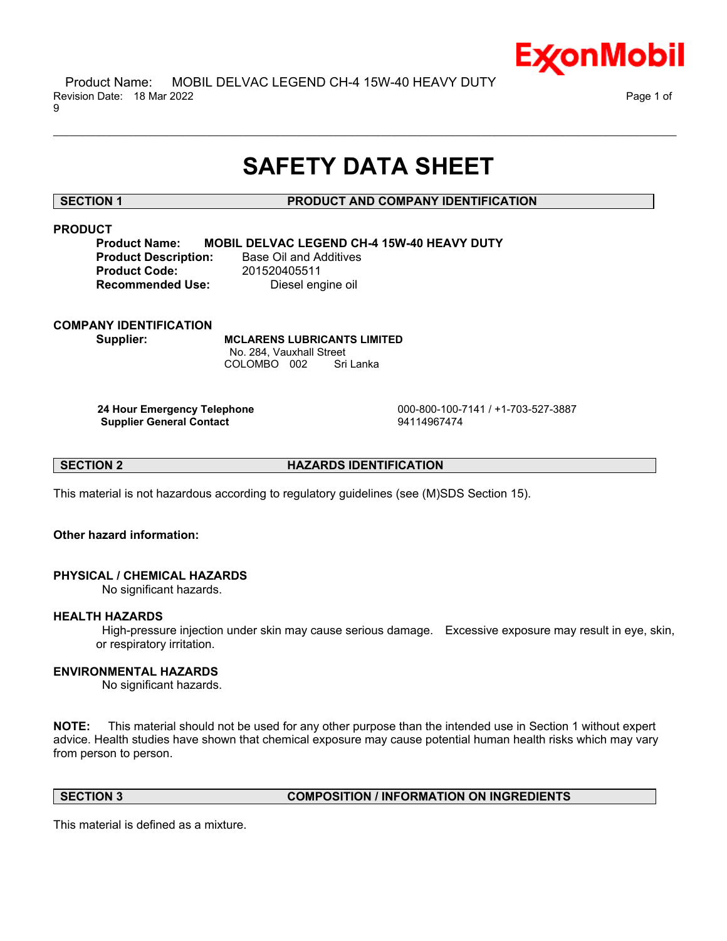

 Product Name: MOBIL DELVAC LEGEND CH-4 15W-40 HEAVY DUTY Revision Date: 18 Mar 2022 Page 1 of 9

# **SAFETY DATA SHEET**

\_\_\_\_\_\_\_\_\_\_\_\_\_\_\_\_\_\_\_\_\_\_\_\_\_\_\_\_\_\_\_\_\_\_\_\_\_\_\_\_\_\_\_\_\_\_\_\_\_\_\_\_\_\_\_\_\_\_\_\_\_\_\_\_\_\_\_\_\_\_\_\_\_\_\_\_\_\_\_\_\_\_\_\_\_\_\_\_\_\_\_\_\_\_\_\_\_\_\_\_\_\_\_\_\_\_\_\_\_\_\_\_\_\_\_\_\_\_

#### **SECTION 1 PRODUCT AND COMPANY IDENTIFICATION**

### **PRODUCT**

**Product Name: MOBIL DELVAC LEGEND CH-4 15W-40 HEAVY DUTY Product Description:** Base Oil and Additives **Product Code:** 201520405511 **Recommended Use:** Diesel engine oil

#### **COMPANY IDENTIFICATION**

**Supplier: MCLARENS LUBRICANTS LIMITED** No. 284, Vauxhall Street COLOMBO 002 Sri Lanka

**Supplier General Contact** 94114967474

**24 Hour Emergency Telephone** 000-800-100-7141 / +1-703-527-3887

**SECTION 2 HAZARDS IDENTIFICATION**

This material is not hazardous according to regulatory guidelines (see (M)SDS Section 15).

#### **Other hazard information:**

### **PHYSICAL / CHEMICAL HAZARDS**

No significant hazards.

#### **HEALTH HAZARDS**

High-pressure injection under skin may cause serious damage. Excessive exposure may result in eye, skin, or respiratory irritation.

#### **ENVIRONMENTAL HAZARDS**

No significant hazards.

**NOTE:** This material should not be used for any other purpose than the intended use in Section 1 without expert advice. Health studies have shown that chemical exposure may cause potential human health risks which may vary from person to person.

#### **SECTION 3 COMPOSITION / INFORMATION ON INGREDIENTS**

This material is defined as a mixture.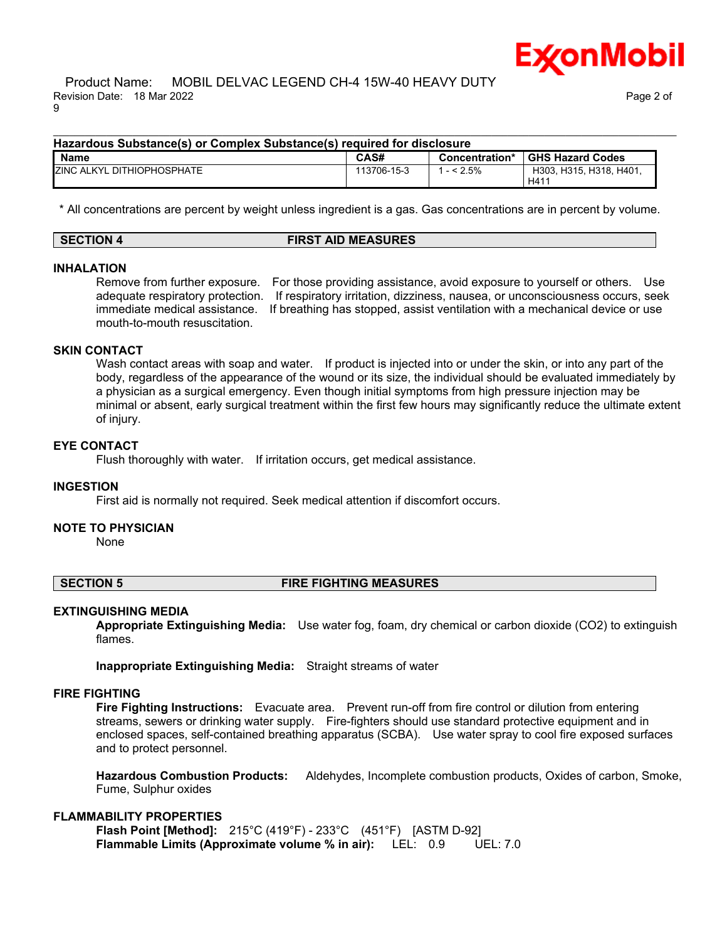

H411

#### Product Name: MOBIL DELVAC LEGEND CH-4 15W-40 HEAVY DUTY Revision Date: 18 Mar 2022 Page 2 of 9

#### **Hazardous Substance(s) or Complex Substance(s) required for disclosure Name CAS# Concentration\* GHS Hazard Codes** ZINC ALKYL DITHIOPHOSPHATE 113706-15-3 1 - < 2.5% H303, H315, H318, H401,

\* All concentrations are percent by weight unless ingredient is a gas. Gas concentrations are in percent by volume.

\_\_\_\_\_\_\_\_\_\_\_\_\_\_\_\_\_\_\_\_\_\_\_\_\_\_\_\_\_\_\_\_\_\_\_\_\_\_\_\_\_\_\_\_\_\_\_\_\_\_\_\_\_\_\_\_\_\_\_\_\_\_\_\_\_\_\_\_\_\_\_\_\_\_\_\_\_\_\_\_\_\_\_\_\_\_\_\_\_\_\_\_\_\_\_\_\_\_\_\_\_\_\_\_\_\_\_\_\_\_\_\_\_\_\_\_\_\_

| <b>SECTION 4</b> | <b>FIRST AID MEASURES</b> |  |
|------------------|---------------------------|--|

#### **INHALATION**

Remove from further exposure. For those providing assistance, avoid exposure to yourself or others. Use adequate respiratory protection. If respiratory irritation, dizziness, nausea, or unconsciousness occurs, seek immediate medical assistance. If breathing has stopped, assist ventilation with a mechanical device or use mouth-to-mouth resuscitation.

#### **SKIN CONTACT**

Wash contact areas with soap and water. If product is injected into or under the skin, or into any part of the body, regardless of the appearance of the wound or its size, the individual should be evaluated immediately by a physician as a surgical emergency. Even though initial symptoms from high pressure injection may be minimal or absent, early surgical treatment within the first few hours may significantly reduce the ultimate extent of injury.

#### **EYE CONTACT**

Flush thoroughly with water. If irritation occurs, get medical assistance.

#### **INGESTION**

First aid is normally not required. Seek medical attention if discomfort occurs.

#### **NOTE TO PHYSICIAN**

None

### **SECTION 5 FIRE FIGHTING MEASURES**

#### **EXTINGUISHING MEDIA**

**Appropriate Extinguishing Media:** Use water fog, foam, dry chemical or carbon dioxide (CO2) to extinguish flames.

**Inappropriate Extinguishing Media:** Straight streams of water

#### **FIRE FIGHTING**

**Fire Fighting Instructions:** Evacuate area. Prevent run-off from fire control or dilution from entering streams, sewers or drinking water supply. Fire-fighters should use standard protective equipment and in enclosed spaces, self-contained breathing apparatus (SCBA). Use water spray to cool fire exposed surfaces and to protect personnel.

**Hazardous Combustion Products:** Aldehydes, Incomplete combustion products, Oxides of carbon, Smoke, Fume, Sulphur oxides

#### **FLAMMABILITY PROPERTIES**

**Flash Point [Method]:** 215°C (419°F) - 233°C (451°F) [ASTM D-92] **Flammable Limits (Approximate volume % in air):** LEL: 0.9 UEL: 7.0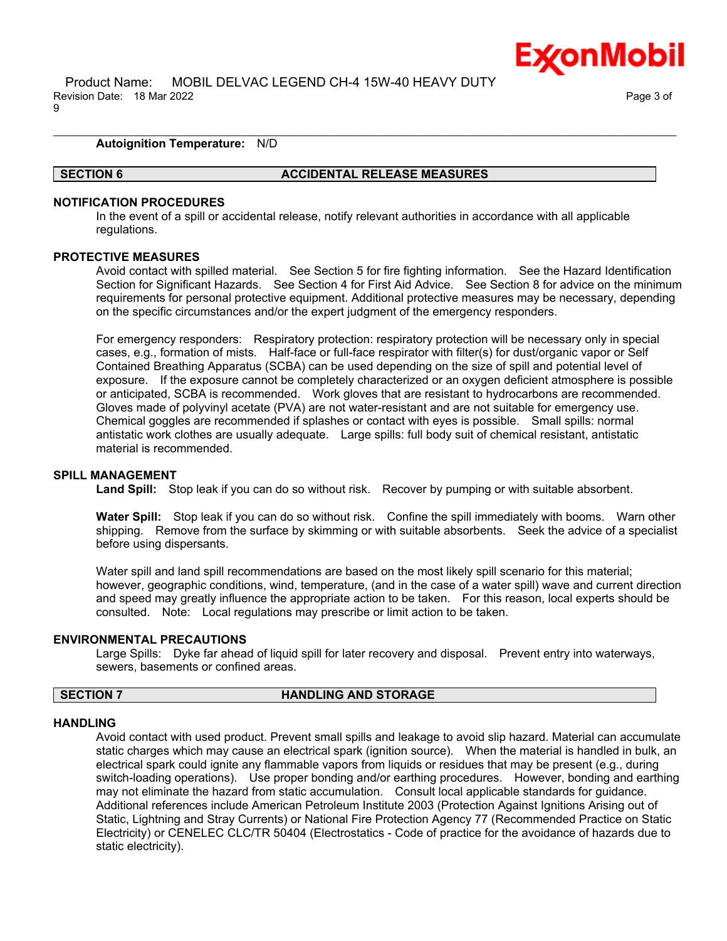

#### **Autoignition Temperature:** N/D

#### **SECTION 6 ACCIDENTAL RELEASE MEASURES**

#### **NOTIFICATION PROCEDURES**

In the event of a spill or accidental release, notify relevant authorities in accordance with all applicable regulations.

\_\_\_\_\_\_\_\_\_\_\_\_\_\_\_\_\_\_\_\_\_\_\_\_\_\_\_\_\_\_\_\_\_\_\_\_\_\_\_\_\_\_\_\_\_\_\_\_\_\_\_\_\_\_\_\_\_\_\_\_\_\_\_\_\_\_\_\_\_\_\_\_\_\_\_\_\_\_\_\_\_\_\_\_\_\_\_\_\_\_\_\_\_\_\_\_\_\_\_\_\_\_\_\_\_\_\_\_\_\_\_\_\_\_\_\_\_\_

#### **PROTECTIVE MEASURES**

Avoid contact with spilled material. See Section 5 for fire fighting information. See the Hazard Identification Section for Significant Hazards. See Section 4 for First Aid Advice. See Section 8 for advice on the minimum requirements for personal protective equipment. Additional protective measures may be necessary, depending on the specific circumstances and/or the expert judgment of the emergency responders.

For emergency responders: Respiratory protection: respiratory protection will be necessary only in special cases, e.g., formation of mists. Half-face or full-face respirator with filter(s) for dust/organic vapor or Self Contained Breathing Apparatus (SCBA) can be used depending on the size of spill and potential level of exposure. If the exposure cannot be completely characterized or an oxygen deficient atmosphere is possible or anticipated, SCBA is recommended. Work gloves that are resistant to hydrocarbons are recommended. Gloves made of polyvinyl acetate (PVA) are not water-resistant and are not suitable for emergency use. Chemical goggles are recommended if splashes or contact with eyes is possible. Small spills: normal antistatic work clothes are usually adequate. Large spills: full body suit of chemical resistant, antistatic material is recommended.

#### **SPILL MANAGEMENT**

**Land Spill:** Stop leak if you can do so without risk. Recover by pumping or with suitable absorbent.

**Water Spill:** Stop leak if you can do so without risk. Confine the spill immediately with booms. Warn other shipping. Remove from the surface by skimming or with suitable absorbents. Seek the advice of a specialist before using dispersants.

Water spill and land spill recommendations are based on the most likely spill scenario for this material; however, geographic conditions, wind, temperature, (and in the case of a water spill) wave and current direction and speed may greatly influence the appropriate action to be taken. For this reason, local experts should be consulted. Note: Local regulations may prescribe or limit action to be taken.

#### **ENVIRONMENTAL PRECAUTIONS**

Large Spills: Dyke far ahead of liquid spill for later recovery and disposal. Prevent entry into waterways, sewers, basements or confined areas.

### **SECTION 7 HANDLING AND STORAGE**

#### **HANDLING**

Avoid contact with used product. Prevent small spills and leakage to avoid slip hazard. Material can accumulate static charges which may cause an electrical spark (ignition source). When the material is handled in bulk, an electrical spark could ignite any flammable vapors from liquids or residues that may be present (e.g., during switch-loading operations). Use proper bonding and/or earthing procedures. However, bonding and earthing may not eliminate the hazard from static accumulation. Consult local applicable standards for guidance. Additional references include American Petroleum Institute 2003 (Protection Against Ignitions Arising out of Static, Lightning and Stray Currents) or National Fire Protection Agency 77 (Recommended Practice on Static Electricity) or CENELEC CLC/TR 50404 (Electrostatics - Code of practice for the avoidance of hazards due to static electricity).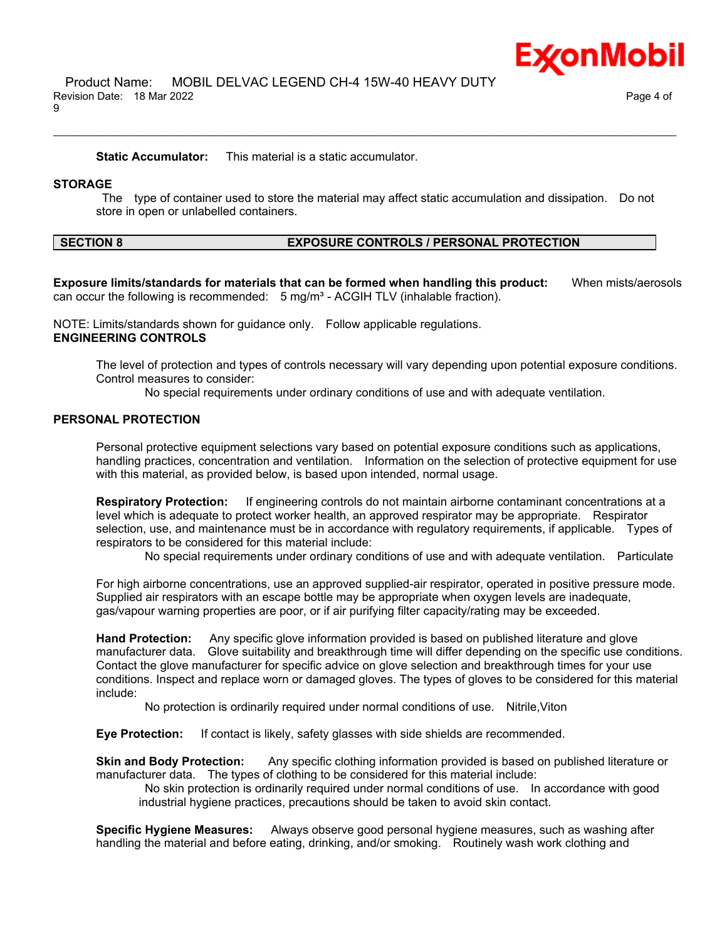**Static Accumulator:** This material is a static accumulator.

#### **STORAGE**

The type of container used to store the material may affect static accumulation and dissipation. Do not store in open or unlabelled containers.

\_\_\_\_\_\_\_\_\_\_\_\_\_\_\_\_\_\_\_\_\_\_\_\_\_\_\_\_\_\_\_\_\_\_\_\_\_\_\_\_\_\_\_\_\_\_\_\_\_\_\_\_\_\_\_\_\_\_\_\_\_\_\_\_\_\_\_\_\_\_\_\_\_\_\_\_\_\_\_\_\_\_\_\_\_\_\_\_\_\_\_\_\_\_\_\_\_\_\_\_\_\_\_\_\_\_\_\_\_\_\_\_\_\_\_\_\_\_

#### **SECTION 8 EXPOSURE CONTROLS / PERSONAL PROTECTION**

**Exposure limits/standards for materials that can be formed when handling this product:** When mists/aerosols can occur the following is recommended:  $5 \text{ mg/m}^3$  - ACGIH TLV (inhalable fraction).

NOTE: Limits/standards shown for guidance only. Follow applicable regulations. **ENGINEERING CONTROLS**

The level of protection and types of controls necessary will vary depending upon potential exposure conditions. Control measures to consider:

No special requirements under ordinary conditions of use and with adequate ventilation.

### **PERSONAL PROTECTION**

Personal protective equipment selections vary based on potential exposure conditions such as applications, handling practices, concentration and ventilation. Information on the selection of protective equipment for use with this material, as provided below, is based upon intended, normal usage.

**Respiratory Protection:** If engineering controls do not maintain airborne contaminant concentrations at a level which is adequate to protect worker health, an approved respirator may be appropriate. Respirator selection, use, and maintenance must be in accordance with regulatory requirements, if applicable. Types of respirators to be considered for this material include:

No special requirements under ordinary conditions of use and with adequate ventilation. Particulate

For high airborne concentrations, use an approved supplied-air respirator, operated in positive pressure mode. Supplied air respirators with an escape bottle may be appropriate when oxygen levels are inadequate, gas/vapour warning properties are poor, or if air purifying filter capacity/rating may be exceeded.

**Hand Protection:** Any specific glove information provided is based on published literature and glove manufacturer data. Glove suitability and breakthrough time will differ depending on the specific use conditions. Contact the glove manufacturer for specific advice on glove selection and breakthrough times for your use conditions. Inspect and replace worn or damaged gloves. The types of gloves to be considered for this material include:

No protection is ordinarily required under normal conditions of use. Nitrile,Viton

**Eye Protection:** If contact is likely, safety glasses with side shields are recommended.

**Skin and Body Protection:** Any specific clothing information provided is based on published literature or manufacturer data. The types of clothing to be considered for this material include:

No skin protection is ordinarily required under normal conditions of use. In accordance with good industrial hygiene practices, precautions should be taken to avoid skin contact.

**Specific Hygiene Measures:** Always observe good personal hygiene measures, such as washing after handling the material and before eating, drinking, and/or smoking. Routinely wash work clothing and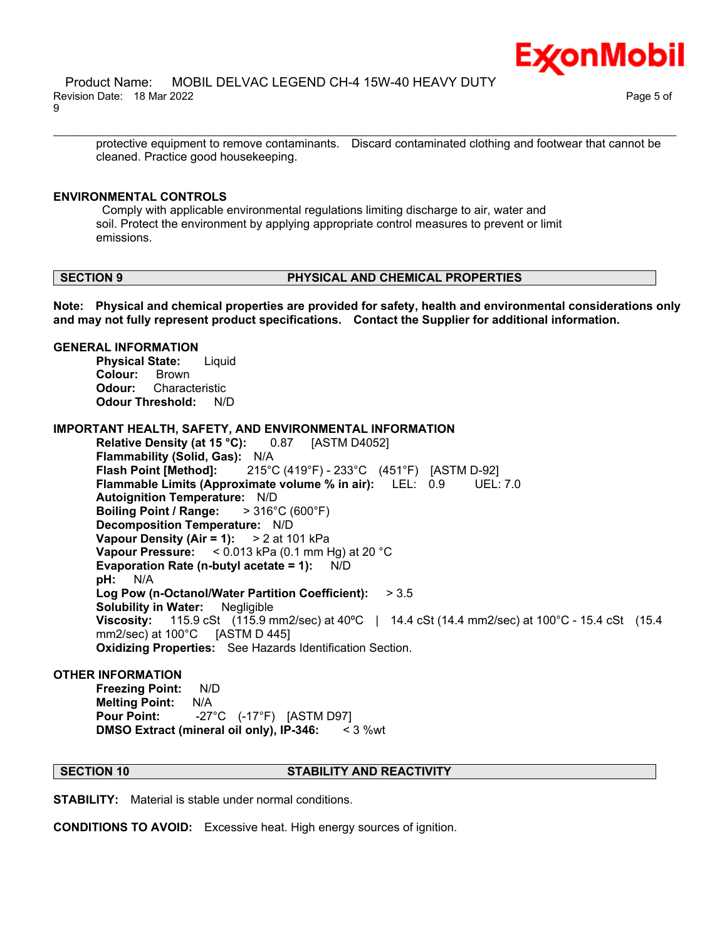

protective equipment to remove contaminants. Discard contaminated clothing and footwear that cannot be cleaned. Practice good housekeeping.

\_\_\_\_\_\_\_\_\_\_\_\_\_\_\_\_\_\_\_\_\_\_\_\_\_\_\_\_\_\_\_\_\_\_\_\_\_\_\_\_\_\_\_\_\_\_\_\_\_\_\_\_\_\_\_\_\_\_\_\_\_\_\_\_\_\_\_\_\_\_\_\_\_\_\_\_\_\_\_\_\_\_\_\_\_\_\_\_\_\_\_\_\_\_\_\_\_\_\_\_\_\_\_\_\_\_\_\_\_\_\_\_\_\_\_\_\_\_

#### **ENVIRONMENTAL CONTROLS**

Comply with applicable environmental regulations limiting discharge to air, water and soil. Protect the environment by applying appropriate control measures to prevent or limit emissions.

#### **SECTION 9 PHYSICAL AND CHEMICAL PROPERTIES**

**Note: Physical and chemical properties are provided for safety, health and environmental considerations only and may not fully represent product specifications. Contact the Supplier for additional information.**

#### **GENERAL INFORMATION**

**Physical State:** Liquid **Colour:** Brown **Odour:** Characteristic **Odour Threshold:** N/D

#### **IMPORTANT HEALTH, SAFETY, AND ENVIRONMENTAL INFORMATION**

**Relative Density (at 15 °C):** 0.87 [ASTM D4052] **Flammability (Solid, Gas):** N/A **Flash Point [Method]:** 215°C (419°F) - 233°C (451°F) [ASTM D-92] **Flammable Limits (Approximate volume % in air):** LEL: 0.9 UEL: 7.0 **Autoignition Temperature:** N/D **Boiling Point / Range:** > 316°C (600°F) **Decomposition Temperature:** N/D **Vapour Density (Air = 1):** > 2 at 101 kPa **Vapour Pressure:** < 0.013 kPa (0.1 mm Hg) at 20 °C **Evaporation Rate (n-butyl acetate = 1):** N/D **pH:** N/A **Log Pow (n-Octanol/Water Partition Coefficient):** > 3.5 **Solubility in Water:** Negligible **Viscosity:** 115.9 cSt (115.9 mm2/sec) at 40°C | 14.4 cSt (14.4 mm2/sec) at 100°C - 15.4 cSt (15.4 mm2/sec) at 100°C [ASTM D 445] mm2/sec) at  $100^{\circ}$ C **Oxidizing Properties:** See Hazards Identification Section.

#### **OTHER INFORMATION**

**Freezing Point:** N/D **Melting Point:** N/A **Pour Point:** -27°C (-17°F) [ASTM D97] **DMSO Extract (mineral oil only), IP-346:** < 3 %wt

#### **SECTION 10 STABILITY AND REACTIVITY**

**STABILITY:** Material is stable under normal conditions.

**CONDITIONS TO AVOID:** Excessive heat. High energy sources of ignition.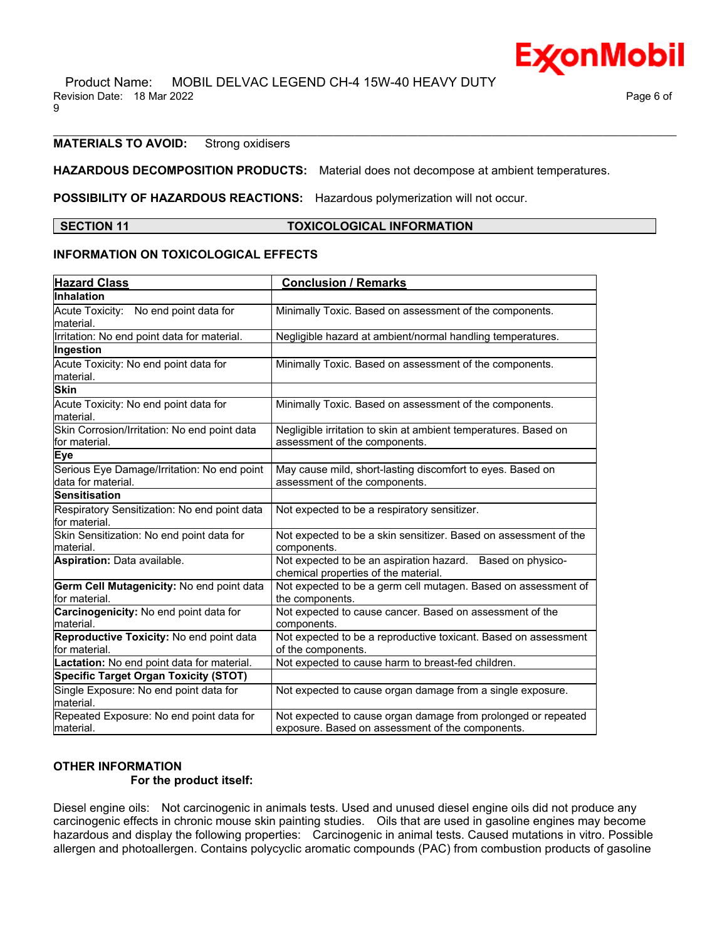### **MATERIALS TO AVOID:** Strong oxidisers

#### **HAZARDOUS DECOMPOSITION PRODUCTS:** Material does not decompose at ambient temperatures.

**POSSIBILITY OF HAZARDOUS REACTIONS:** Hazardous polymerization will not occur.

#### **SECTION 11 TOXICOLOGICAL INFORMATION**

\_\_\_\_\_\_\_\_\_\_\_\_\_\_\_\_\_\_\_\_\_\_\_\_\_\_\_\_\_\_\_\_\_\_\_\_\_\_\_\_\_\_\_\_\_\_\_\_\_\_\_\_\_\_\_\_\_\_\_\_\_\_\_\_\_\_\_\_\_\_\_\_\_\_\_\_\_\_\_\_\_\_\_\_\_\_\_\_\_\_\_\_\_\_\_\_\_\_\_\_\_\_\_\_\_\_\_\_\_\_\_\_\_\_\_\_\_\_

### **INFORMATION ON TOXICOLOGICAL EFFECTS**

| <b>Hazard Class</b>                                            | <b>Conclusion / Remarks</b>                                                                        |  |  |
|----------------------------------------------------------------|----------------------------------------------------------------------------------------------------|--|--|
| Inhalation                                                     |                                                                                                    |  |  |
| Acute Toxicity: No end point data for                          | Minimally Toxic. Based on assessment of the components.                                            |  |  |
| lmaterial.                                                     |                                                                                                    |  |  |
| Irritation: No end point data for material.                    | Negligible hazard at ambient/normal handling temperatures.                                         |  |  |
| Ingestion                                                      |                                                                                                    |  |  |
| Acute Toxicity: No end point data for                          | Minimally Toxic. Based on assessment of the components.                                            |  |  |
| material.                                                      |                                                                                                    |  |  |
| <b>Skin</b>                                                    |                                                                                                    |  |  |
| Acute Toxicity: No end point data for<br>material.             | Minimally Toxic. Based on assessment of the components.                                            |  |  |
| Skin Corrosion/Irritation: No end point data<br>for material.  | Negligible irritation to skin at ambient temperatures. Based on<br>assessment of the components.   |  |  |
| Eye                                                            |                                                                                                    |  |  |
| Serious Eye Damage/Irritation: No end point                    | May cause mild, short-lasting discomfort to eyes. Based on                                         |  |  |
| data for material.                                             | assessment of the components.                                                                      |  |  |
| <b>Sensitisation</b>                                           |                                                                                                    |  |  |
| Respiratory Sensitization: No end point data<br>lfor material. | Not expected to be a respiratory sensitizer.                                                       |  |  |
| Skin Sensitization: No end point data for<br>material.         | Not expected to be a skin sensitizer. Based on assessment of the<br>components.                    |  |  |
| Aspiration: Data available.                                    | Not expected to be an aspiration hazard. Based on physico-<br>chemical properties of the material. |  |  |
| Germ Cell Mutagenicity: No end point data<br>for material.     | Not expected to be a germ cell mutagen. Based on assessment of<br>the components.                  |  |  |
| Carcinogenicity: No end point data for                         | Not expected to cause cancer. Based on assessment of the                                           |  |  |
| lmaterial.                                                     | components.                                                                                        |  |  |
| Reproductive Toxicity: No end point data                       | Not expected to be a reproductive toxicant. Based on assessment                                    |  |  |
| for material.                                                  | of the components.                                                                                 |  |  |
| Lactation: No end point data for material.                     | Not expected to cause harm to breast-fed children.                                                 |  |  |
| Specific Target Organ Toxicity (STOT)                          |                                                                                                    |  |  |
| Single Exposure: No end point data for<br>lmaterial.           | Not expected to cause organ damage from a single exposure.                                         |  |  |
| Repeated Exposure: No end point data for                       | Not expected to cause organ damage from prolonged or repeated                                      |  |  |
| material.                                                      | exposure. Based on assessment of the components.                                                   |  |  |

## **OTHER INFORMATION**

### **For the product itself:**

Diesel engine oils: Not carcinogenic in animals tests. Used and unused diesel engine oils did not produce any carcinogenic effects in chronic mouse skin painting studies. Oils that are used in gasoline engines may become hazardous and display the following properties: Carcinogenic in animal tests. Caused mutations in vitro. Possible allergen and photoallergen. Contains polycyclic aromatic compounds (PAC) from combustion products of gasoline

Ex⁄onMobil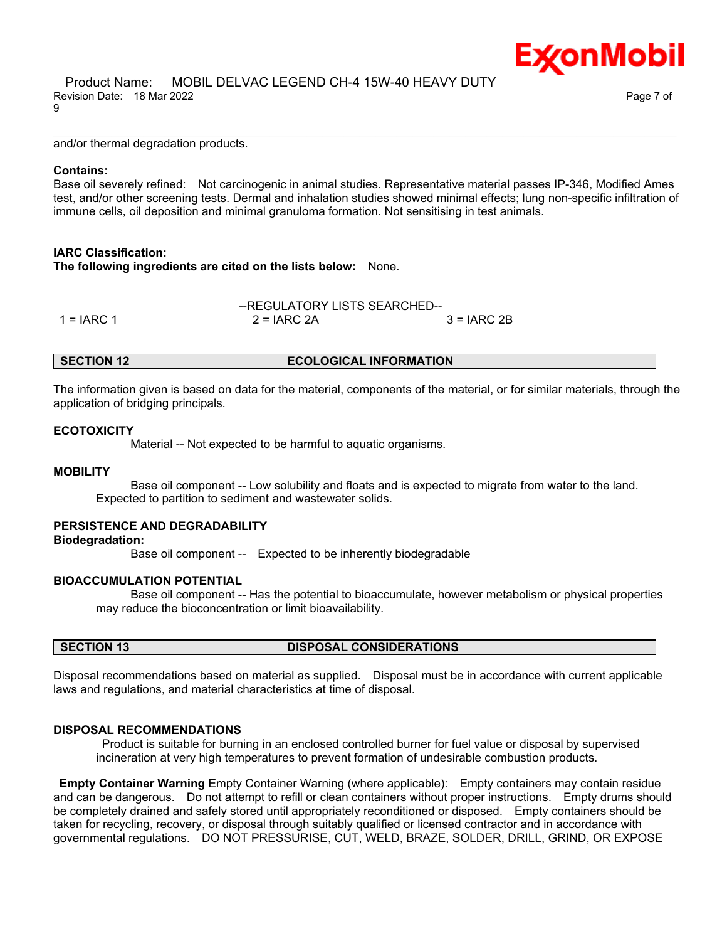:<sub>X</sub>onMobil

and/or thermal degradation products.

#### **Contains:**

Base oil severely refined: Not carcinogenic in animal studies. Representative material passes IP-346, Modified Ames test, and/or other screening tests. Dermal and inhalation studies showed minimal effects; lung non-specific infiltration of immune cells, oil deposition and minimal granuloma formation. Not sensitising in test animals.

\_\_\_\_\_\_\_\_\_\_\_\_\_\_\_\_\_\_\_\_\_\_\_\_\_\_\_\_\_\_\_\_\_\_\_\_\_\_\_\_\_\_\_\_\_\_\_\_\_\_\_\_\_\_\_\_\_\_\_\_\_\_\_\_\_\_\_\_\_\_\_\_\_\_\_\_\_\_\_\_\_\_\_\_\_\_\_\_\_\_\_\_\_\_\_\_\_\_\_\_\_\_\_\_\_\_\_\_\_\_\_\_\_\_\_\_\_\_

#### **IARC Classification:**

**The following ingredients are cited on the lists below:** None.

|              | --REGULATORY LISTS SEARCHED-- |               |  |
|--------------|-------------------------------|---------------|--|
| $1 = IARC 1$ | $2 = IARC 2A$                 | $3 = IARC 2B$ |  |

#### **SECTION 12 ECOLOGICAL INFORMATION**

The information given is based on data for the material, components of the material, or for similar materials, through the application of bridging principals.

#### **ECOTOXICITY**

Material -- Not expected to be harmful to aquatic organisms.

#### **MOBILITY**

 Base oil component -- Low solubility and floats and is expected to migrate from water to the land. Expected to partition to sediment and wastewater solids.

#### **PERSISTENCE AND DEGRADABILITY**

**Biodegradation:**

Base oil component -- Expected to be inherently biodegradable

#### **BIOACCUMULATION POTENTIAL**

 Base oil component -- Has the potential to bioaccumulate, however metabolism or physical properties may reduce the bioconcentration or limit bioavailability.

#### **SECTION 13 DISPOSAL CONSIDERATIONS**

Disposal recommendations based on material as supplied. Disposal must be in accordance with current applicable laws and regulations, and material characteristics at time of disposal.

#### **DISPOSAL RECOMMENDATIONS**

Product is suitable for burning in an enclosed controlled burner for fuel value or disposal by supervised incineration at very high temperatures to prevent formation of undesirable combustion products.

**Empty Container Warning** Empty Container Warning (where applicable): Empty containers may contain residue and can be dangerous. Do not attempt to refill or clean containers without proper instructions. Empty drums should be completely drained and safely stored until appropriately reconditioned or disposed. Empty containers should be taken for recycling, recovery, or disposal through suitably qualified or licensed contractor and in accordance with governmental regulations. DO NOT PRESSURISE, CUT, WELD, BRAZE, SOLDER, DRILL, GRIND, OR EXPOSE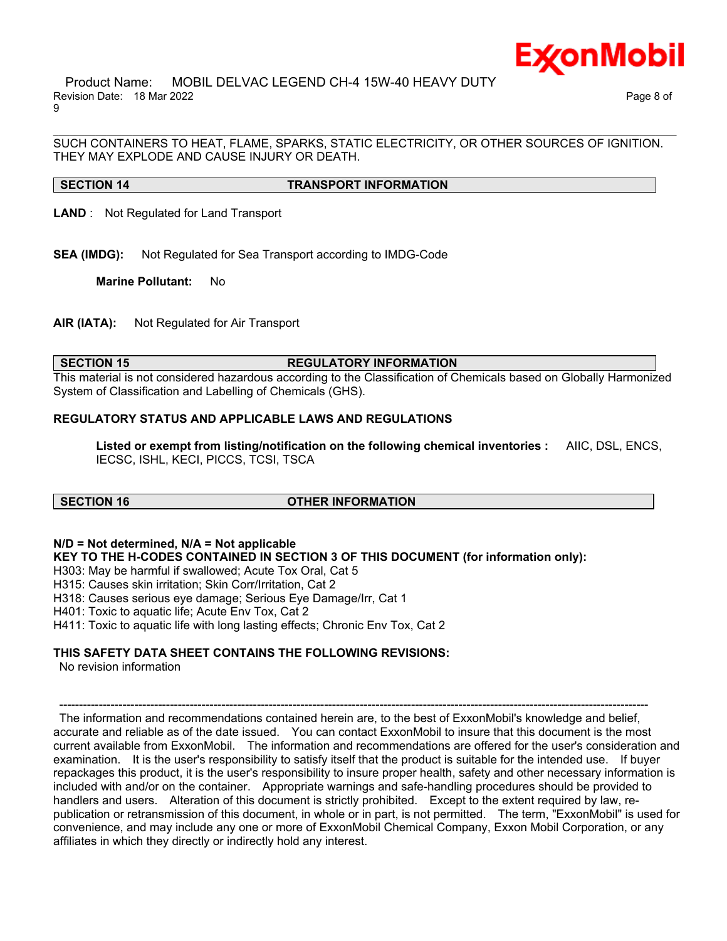

 Product Name: MOBIL DELVAC LEGEND CH-4 15W-40 HEAVY DUTY Revision Date: 18 Mar 2022 Page 8 of 9

SUCH CONTAINERS TO HEAT, FLAME, SPARKS, STATIC ELECTRICITY, OR OTHER SOURCES OF IGNITION. THEY MAY EXPLODE AND CAUSE INJURY OR DEATH.

\_\_\_\_\_\_\_\_\_\_\_\_\_\_\_\_\_\_\_\_\_\_\_\_\_\_\_\_\_\_\_\_\_\_\_\_\_\_\_\_\_\_\_\_\_\_\_\_\_\_\_\_\_\_\_\_\_\_\_\_\_\_\_\_\_\_\_\_\_\_\_\_\_\_\_\_\_\_\_\_\_\_\_\_\_\_\_\_\_\_\_\_\_\_\_\_\_\_\_\_\_\_\_\_\_\_\_\_\_\_\_\_\_\_\_\_\_\_

**SECTION 14 TRANSPORT INFORMATION**

**LAND** : Not Regulated for Land Transport

**SEA (IMDG):** Not Regulated for Sea Transport according to IMDG-Code

**Marine Pollutant:** No

**AIR (IATA):** Not Regulated for Air Transport

#### **SECTION 15 REGULATORY INFORMATION**

This material is not considered hazardous according to the Classification of Chemicals based on Globally Harmonized System of Classification and Labelling of Chemicals (GHS).

### **REGULATORY STATUS AND APPLICABLE LAWS AND REGULATIONS**

**Listed or exempt from listing/notification on the following chemical inventories :** AIIC, DSL, ENCS, IECSC, ISHL, KECI, PICCS, TCSI, TSCA

#### **SECTION 16 OTHER INFORMATION**

**N/D = Not determined, N/A = Not applicable**

**KEY TO THE H-CODES CONTAINED IN SECTION 3 OF THIS DOCUMENT (for information only):**

H303: May be harmful if swallowed; Acute Tox Oral, Cat 5

H315: Causes skin irritation; Skin Corr/Irritation, Cat 2

H318: Causes serious eye damage; Serious Eye Damage/Irr, Cat 1

H401: Toxic to aquatic life; Acute Env Tox, Cat 2

H411: Toxic to aquatic life with long lasting effects; Chronic Env Tox, Cat 2

#### **THIS SAFETY DATA SHEET CONTAINS THE FOLLOWING REVISIONS:**

No revision information

----------------------------------------------------------------------------------------------------------------------------------------------------- The information and recommendations contained herein are, to the best of ExxonMobil's knowledge and belief, accurate and reliable as of the date issued. You can contact ExxonMobil to insure that this document is the most current available from ExxonMobil. The information and recommendations are offered for the user's consideration and examination. It is the user's responsibility to satisfy itself that the product is suitable for the intended use. If buyer repackages this product, it is the user's responsibility to insure proper health, safety and other necessary information is included with and/or on the container. Appropriate warnings and safe-handling procedures should be provided to handlers and users. Alteration of this document is strictly prohibited. Except to the extent required by law, republication or retransmission of this document, in whole or in part, is not permitted. The term, "ExxonMobil" is used for convenience, and may include any one or more of ExxonMobil Chemical Company, Exxon Mobil Corporation, or any affiliates in which they directly or indirectly hold any interest.